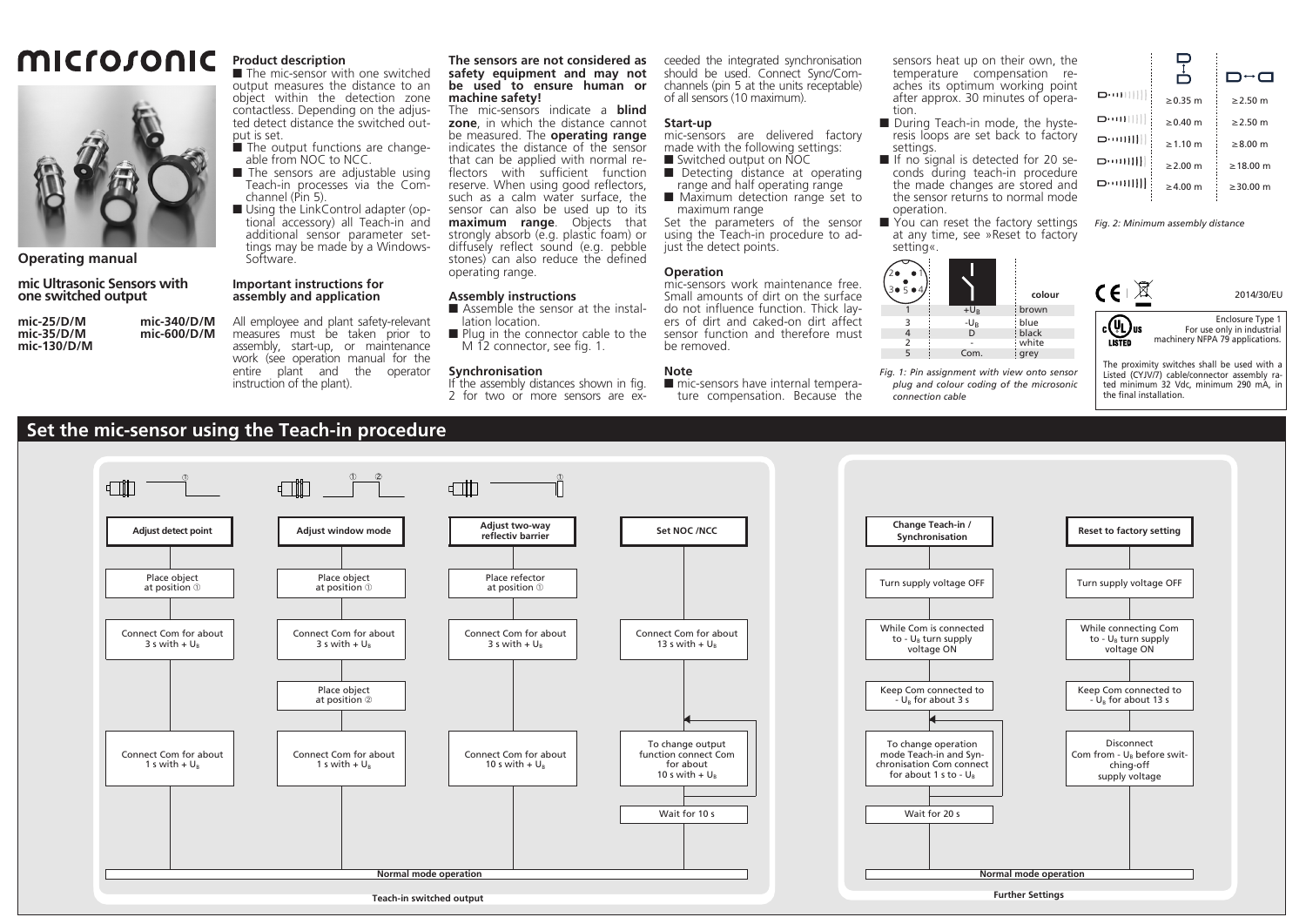# microsonic



**Operating manual**

## **mic Ultrasonic Sensors with one switched output**

**mic-25/D/M mic-340/D/M mic-35/D/M mic-600/D/M mic-130/D/M**

**assembly and application** All employee and plant safety-relevant measures must be taken prior to assembly, start-up, or maintenance work (see operation manual for the entire plant and the operator

**Product description**

channel (Pin 5).

Software.

put is set.

■ The mic-sensor with one switched output measures the distance to an object within the detection zone contactless. Depending on the adjusted detect distance the switched out-

■ The output functions are changeable from NOC to NCC. The sensors are adjustable using Teach-in processes via the Com-

Using the LinkControl adapter (optional accessory) all Teach-in and additional sensor parameter settings may be made by a Windows-

#### **The sensors are not considered as safety equipment and may not be used to ensure human or machine safety!**

The mic-sensors indicate a **blind zone**, in which the distance cannot be measured. The **operating range** indicates the distance of the sensor that can be applied with normal reflectors with sufficient function reserve. When using good reflectors, such as a calm water surface, the sensor can also be used up to its **maximum range**. Objects that strongly absorb (e.g. plastic foam) or diffusely reflect sound (e.g. pebble stones) can also reduce the defined operating range.

### **Assembly instructions**

- Assemble the sensor at the installation location.
- **Plug in the connector cable to the** M 12 connector, see fig. 1.

#### **Synchronisation**

If the assembly distances shown in fig. 2 for two or more sensors are ex-

ceeded the integrated synchronisation should be used. Connect Sync/Comchannels (pin 5 at the units receptable) of all sensors (10 maximum).

#### **Start-up**

- mic-sensors are delivered factory made with the following settings:
- Switched output on NOC
- Detecting distance at operating range and half operating range
- **Maximum detection range set to** maximum range

Set the parameters of the sensor using the Teach-in procedure to adjust the detect points.

#### **Operation**

mic-sensors work maintenance free. Small amounts of dirt on the surface do not influence function. Thick layers of dirt and caked-on dirt affect sensor function and therefore must be removed.

#### **Note**

mic-sensors have internal temperature compensation. Because the

sensors heat up on their own, the temperature compensation reaches its optimum working point after approx. 30 minutes of operation.

- During Teach-in mode, the hysteresis loops are set back to factory settings.
- If no signal is detected for 20 seconds during teach-in procedure the made changes are stored and the sensor returns to normal mode operation.
- You can reset the factory settings at any time, see »Reset to factory setting«.

**colour**

brown blue

black white arey

*Fig. 1: Pin assignment with view onto sensor plug and colour coding of the microsonic*

+UB -UB

D  $Com$ 

*connection cable*

1  $\overline{3}$ 

1 3●5●4 2• ∎

> 4 2 5



*Fig. 2: Minimum assembly distance*



Enclosure Type 1  $_{\rm c}(\Psi_{\rm L})_{\rm us}$ For use only in industrial machinery NFPA 79 applications. **LISTED** 

The proximity switches shall be used with a Listed (CYJV/7) cable/connector assembly rated minimum 32 Vdc, minimum 290 mA, in the final installation.

# **Set the mic-sensor using the Teach-in procedure**



**Important instructions for** 

instruction of the plant).